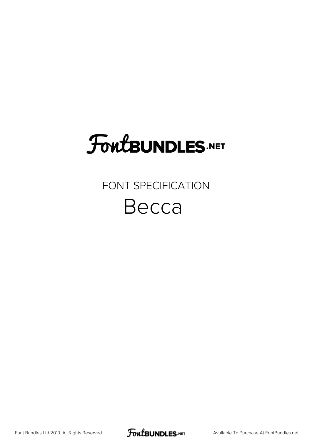# **FoutBUNDLES.NET**

#### FONT SPECIFICATION Becca

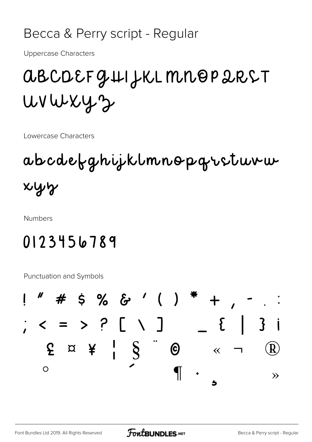#### Becca & Perry script - Regular

**Uppercase Characters** 

## abcdeFg#IfKLmnOP2RCT wwwyz

Lowercase Characters

## abcdefghijklmnopqrstuvw xyy

**Numbers** 

#### 0123456789

Punctuation and Symbols

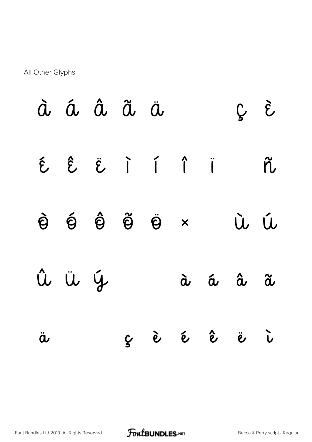All Other Glyphs

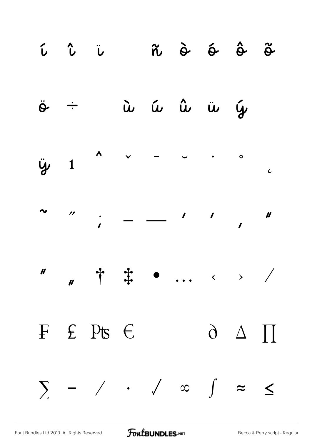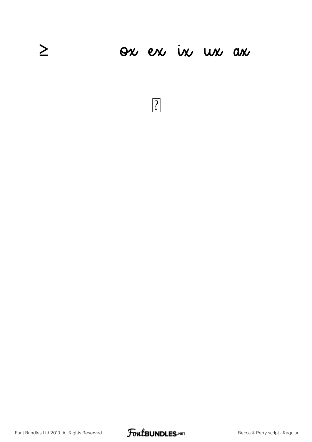≥ ox ex in un an

 $\boxed{?}$ 

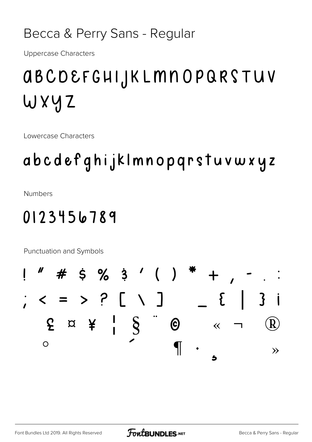Becca & Perry Sans - Regular

**Uppercase Characters** 

# **abCDEFGHIJKLMNOPQRSTUV** WXYZ

Lowercase Characters

### abcdefghijklmnopqrstuvwxyz

**Numbers** 

#### 0123456789

Punctuation and Symbols

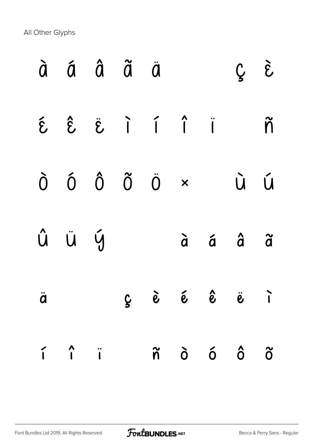All Other Glyphs

|                     |       | à á â ã ä                                                                                       |  |                                                                                          | $\zeta$ $\zeta$ |
|---------------------|-------|-------------------------------------------------------------------------------------------------|--|------------------------------------------------------------------------------------------|-----------------|
|                     |       | $\tilde{e}$ $\tilde{e}$ $\tilde{e}$ $\tilde{1}$ $\tilde{1}$ $\tilde{1}$ $\tilde{1}$ $\tilde{m}$ |  |                                                                                          |                 |
|                     |       | d ó ô õ ö × ù ú                                                                                 |  |                                                                                          |                 |
|                     | û ü ý |                                                                                                 |  | $\hat{a}$ $\hat{a}$ $\hat{a}$ $\hat{a}$                                                  |                 |
| $\ddot{\mathbf{d}}$ |       |                                                                                                 |  | $\begin{array}{ccc} \zeta & \hat{e} & \hat{e} & \hat{e} & \hat{e} & \hat{e} \end{array}$ |                 |
|                     |       | i î i mi o ó ô õ                                                                                |  |                                                                                          |                 |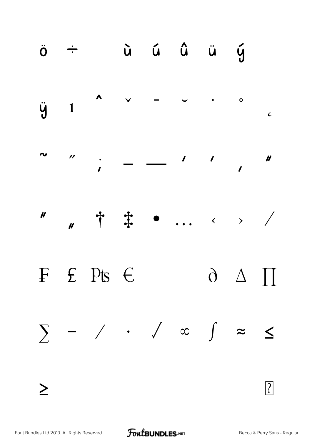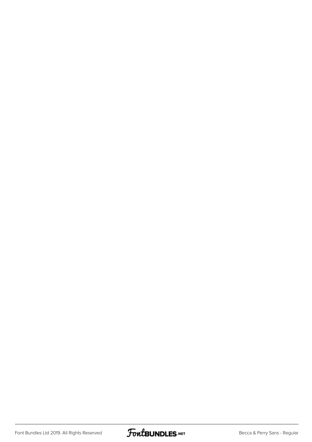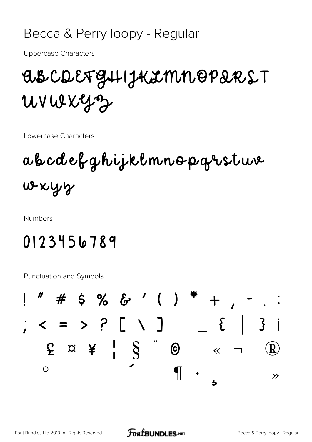#### Becca & Perry loopy - Regular

**Uppercase Characters** 

### ABCDEFJHIJKLMNOPIRST WVWXYZ

Lowercase Characters

abcdefghijklmnopqrstur wexyz

**Numbers** 

#### 0123456789

Punctuation and Symbols

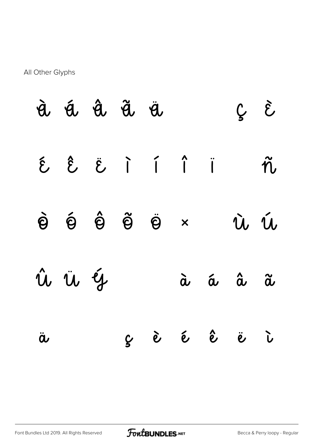All Other Glyphs



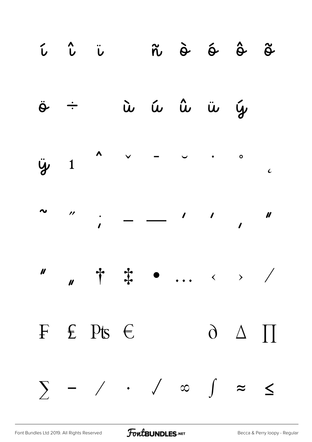